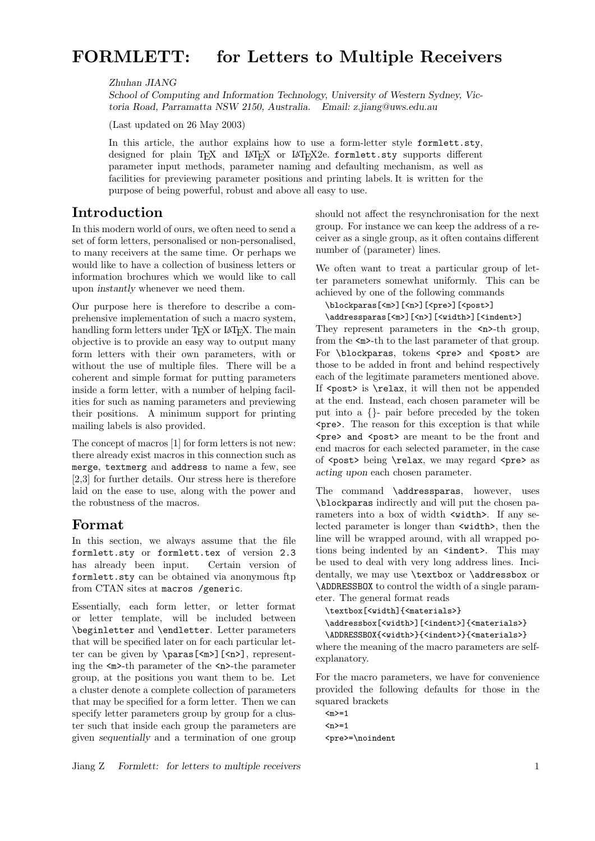# FORMLETT: for Letters to Multiple Receivers

Zhuhan JIANG

School of Computing and Information Technology, University of Western Sydney, Victoria Road, Parramatta NSW 2150, Australia. Email: z.jiang@uws.edu.au

(Last updated on 26 May 2003)

In this article, the author explains how to use a form-letter style formlett.sty, designed for plain TEX and LAT<sub>E</sub>X or LAT<sub>E</sub>X2e. formlett.sty supports different parameter input methods, parameter naming and defaulting mechanism, as well as facilities for previewing parameter positions and printing labels. It is written for the purpose of being powerful, robust and above all easy to use.

## Introduction

In this modern world of ours, we often need to send a set of form letters, personalised or non-personalised, to many receivers at the same time. Or perhaps we would like to have a collection of business letters or information brochures which we would like to call upon instantly whenever we need them.

Our purpose here is therefore to describe a comprehensive implementation of such a macro system, handling form letters under  $T_F X$  or  $T_F X$ . The main objective is to provide an easy way to output many form letters with their own parameters, with or without the use of multiple files. There will be a coherent and simple format for putting parameters inside a form letter, with a number of helping facilities for such as naming parameters and previewing their positions. A minimum support for printing mailing labels is also provided.

The concept of macros [1] for form letters is not new: there already exist macros in this connection such as merge, textmerg and address to name a few, see [2,3] for further details. Our stress here is therefore laid on the ease to use, along with the power and the robustness of the macros.

## Format

In this section, we always assume that the file formlett.sty or formlett.tex of version 2.3 has already been input. Certain version of formlett.sty can be obtained via anonymous ftp from CTAN sites at macros /generic.

Essentially, each form letter, or letter format or letter template, will be included between \beginletter and \endletter. Letter parameters that will be specified later on for each particular letter can be given by \paras[<m>][<n>], representing the <m>-th parameter of the <n>-the parameter group, at the positions you want them to be. Let a cluster denote a complete collection of parameters that may be specified for a form letter. Then we can specify letter parameters group by group for a cluster such that inside each group the parameters are given sequentially and a termination of one group

should not affect the resynchronisation for the next group. For instance we can keep the address of a receiver as a single group, as it often contains different number of (parameter) lines.

We often want to treat a particular group of letter parameters somewhat uniformly. This can be achieved by one of the following commands

\blockparas[<m>][<n>][<pre>][<post>]

\addressparas[<m>][<n>][<width>][<indent>]

They represent parameters in the  $\leq n$ -th group, from the  $\leq m$ -th to the last parameter of that group. For \blockparas, tokens <pre> and <post> are those to be added in front and behind respectively each of the legitimate parameters mentioned above. If  *is*  $\relaxpoonright$  it will then not be appendedat the end. Instead, each chosen parameter will be put into a {}- pair before preceded by the token <pre>. The reason for this exception is that while <pre> and <post> are meant to be the front and end macros for each selected parameter, in the case of <post> being \relax, we may regard <pre> as acting upon each chosen parameter.

The command **\addressparas**, however, uses \blockparas indirectly and will put the chosen parameters into a box of width <width>. If any selected parameter is longer than <width>, then the line will be wrapped around, with all wrapped potions being indented by an <indent>. This may be used to deal with very long address lines. Incidentally, we may use \textbox or \addressbox or \ADDRESSBOX to control the width of a single parameter. The general format reads

```
\textbox[<width]{<materials>}
```

```
\addressbox[<width>][<indent>]{<materials>}
\ADDRESSBOX{<width>}{<indent>}{<materials>}
```
where the meaning of the macro parameters are selfexplanatory.

For the macro parameters, we have for convenience provided the following defaults for those in the squared brackets

```
<sub>m</sub>>=1</sub>
\langle n \rangle = 1<pre>=\noindent
```
Jiang Z Formlett: for letters to multiple receivers 1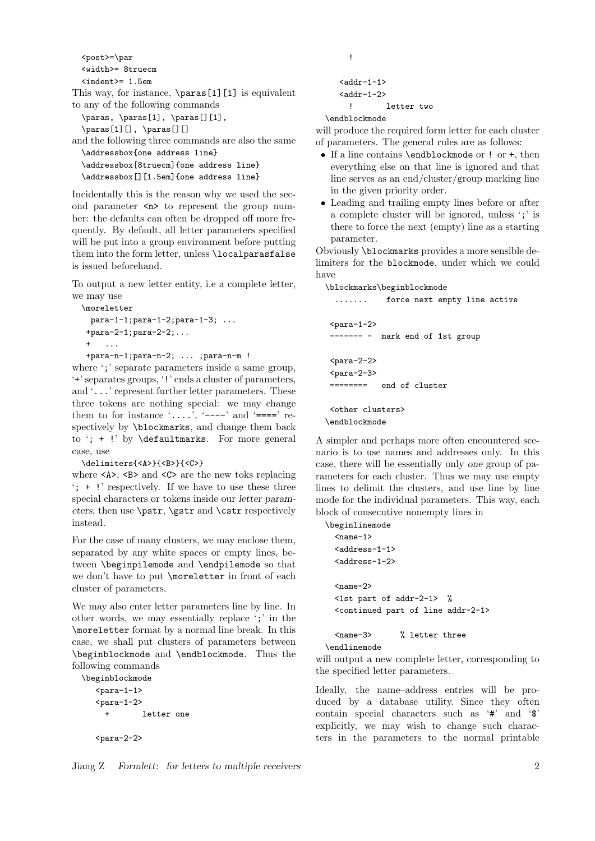<post>=\par <width>= 8truecm

<indent>= 1.5em

This way, for instance, \paras[1][1] is equivalent to any of the following commands

 $\parals, \bar[1], \bar[2]$ 

```
\n\partial[1][], \partial[]
```
and the following three commands are also the same \addressbox{one address line}

\addressbox[8truecm]{one address line} \addressbox[][1.5em]{one address line}

Incidentally this is the reason why we used the second parameter  $\langle n \rangle$  to represent the group number: the defaults can often be dropped off more frequently. By default, all letter parameters specified will be put into a group environment before putting them into the form letter, unless \localparasfalse is issued beforehand.

To output a new letter entity, i.e a complete letter, we may use

```
\moreletter
 para-1-1;para-1-2;para-1-3; ...
+para-2-1;para-2-2;...
+ ...
+para-n-1;para-n-2; ... ;para-n-m !
```
where  $\cdot$ ; separate parameters inside a same group, '+' separates groups, '!' ends a cluster of parameters, and '...' represent further letter parameters. These three tokens are nothing special: we may change them to for instance  $\langle \ldots \rangle$ ,  $\langle \cdots \rangle$  and  $\langle \cdots \rangle$  respectively by \blockmarks, and change them back to '; + !' by \defaultmarks. For more general case, use

```
\delimiters{<A>}{<B>}{<C>}
```
where  $\langle A \rangle$ ,  $\langle B \rangle$  and  $\langle C \rangle$  are the new toks replacing '; + !' respectively. If we have to use these three special characters or tokens inside our letter parameters, then use \pstr, \gstr and \cstr respectively instead.

For the case of many clusters, we may enclose them, separated by any white spaces or empty lines, between \beginpilemode and \endpilemode so that we don't have to put \moreletter in front of each cluster of parameters.

We may also enter letter parameters line by line. In other words, we may essentially replace ';' in the \moreletter format by a normal line break. In this case, we shall put clusters of parameters between \beginblockmode and \endblockmode. Thus the following commands

\beginblockmode

```
<sub>para-1-1</sub></sub>
<sub>para-1-2</sub></sub>
   + letter one
<sub>para-2-2</sub></sub>
```

```
<addr-1-1>
<addr-1-2>
 ! letter two
```
\endblockmode

!

will produce the required form letter for each cluster of parameters. The general rules are as follows:

- If a line contains \endblockmode or ! or +, then everything else on that line is ignored and that line serves as an end/cluster/group marking line in the given priority order.
- Leading and trailing empty lines before or after a complete cluster will be ignored, unless ';' is there to force the next (empty) line as a starting parameter.

Obviously \blockmarks provides a more sensible delimiters for the blockmode, under which we could have

\blockmarks\beginblockmode

```
....... force next empty line active
<sub>para-1-2</sub></sub>
------- - mark end of 1st group
<sub>para-2-2</sub></sub>
<sub>para-2-3</sub></sub>
======== end of cluster
<other clusters>
```

```
\endblockmode
```
A simpler and perhaps more often encountered scenario is to use names and addresses only. In this case, there will be essentially only one group of parameters for each cluster. Thus we may use empty lines to delimit the clusters, and use line by line mode for the individual parameters. This way, each block of consecutive nonempty lines in

```
\beginlinemode
  <sub>name-1</sub></sub>
  <address-1-1>
  <address-1-2>
  <sub>name-2</sub></sub>
  <1st part of addr-2-1> %
  <continued part of line addr-2-1>
```
<name-3> % letter three

```
\endlinemode
```
will output a new complete letter, corresponding to the specified letter parameters.

Ideally, the name–address entries will be produced by a database utility. Since they often contain special characters such as '#' and '\$' explicitly, we may wish to change such characters in the parameters to the normal printable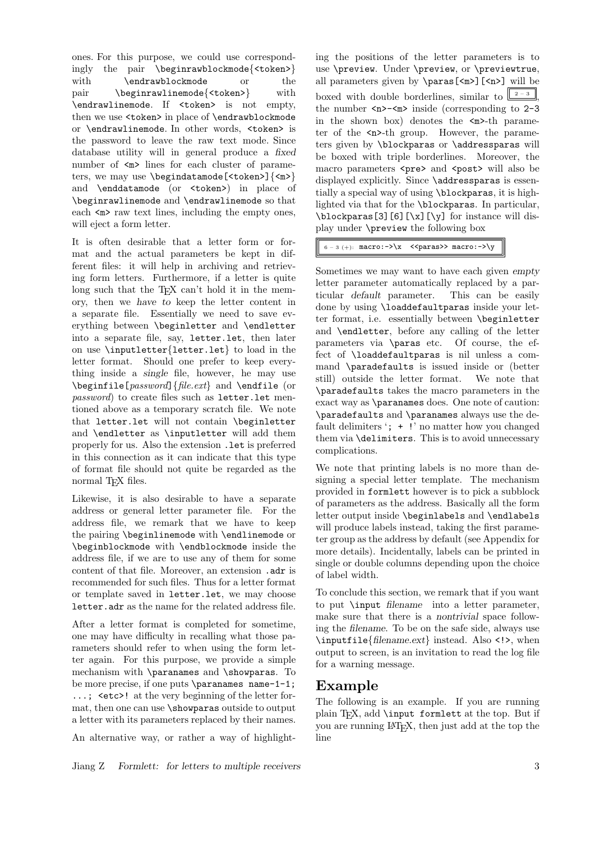ones. For this purpose, we could use correspondingly the pair \beginrawblockmode{<token>} with \endrawblockmode or the pair \beginrawlinemode{<token>} with \endrawlinemode. If <token> is not empty, then we use <token> in place of \endrawblockmode or \endrawlinemode. In other words, <token> is the password to leave the raw text mode. Since database utility will in general produce a fixed number of  $\langle m \rangle$  lines for each cluster of parameters, we may use  $\begin{cases} \frac{1}{\text{m}} < \text{token} \end{cases}$ and \enddatamode (or <token>) in place of \beginrawlinemode and \endrawlinemode so that each  $\langle m \rangle$  raw text lines, including the empty ones, will eject a form letter.

It is often desirable that a letter form or format and the actual parameters be kept in different files: it will help in archiving and retrieving form letters. Furthermore, if a letter is quite long such that the T<sub>EX</sub> can't hold it in the memory, then we have to keep the letter content in a separate file. Essentially we need to save everything between \beginletter and \endletter into a separate file, say, letter.let, then later on use \inputletter{letter.let} to load in the letter format. Should one prefer to keep everything inside a single file, however, he may use \beginfile[password]{file.ext} and \endfile (or password) to create files such as letter.let mentioned above as a temporary scratch file. We note that letter.let will not contain \beginletter and \endletter as \inputletter will add them properly for us. Also the extension .let is preferred in this connection as it can indicate that this type of format file should not quite be regarded as the normal T<sub>E</sub>X files.

Likewise, it is also desirable to have a separate address or general letter parameter file. For the address file, we remark that we have to keep the pairing \beginlinemode with \endlinemode or \beginblockmode with \endblockmode inside the address file, if we are to use any of them for some content of that file. Moreover, an extension .adr is recommended for such files. Thus for a letter format or template saved in letter.let, we may choose letter.adr as the name for the related address file.

After a letter format is completed for sometime, one may have difficulty in recalling what those parameters should refer to when using the form letter again. For this purpose, we provide a simple mechanism with \paranames and \showparas. To be more precise, if one puts \paranames name-1-1; ...; <etc>! at the very beginning of the letter format, then one can use \showparas outside to output a letter with its parameters replaced by their names.

An alternative way, or rather a way of highlight-

ing the positions of the letter parameters is to use \preview. Under \preview, or \previewtrue, all parameters given by  $\parbox{.}{{\sf max}}[**n**]{\sim}$ ] will be boxed with double borderlines, similar to  $\lfloor 2-3 \rfloor$ , the number  $\langle n \rangle$ - $\langle m \rangle$  inside (corresponding to 2-3 in the shown box) denotes the  $\langle m \rangle$ -th parameter of the <n>-th group. However, the parameters given by \blockparas or \addressparas will be boxed with triple borderlines. Moreover, the macro parameters <pre> and <post> will also be displayed explicitly. Since \addressparas is essentially a special way of using \blockparas, it is highlighted via that for the \blockparas. In particular, \blockparas[3][6][\x][\y] for instance will display under \preview the following box

 $6 - 3 (+)$ : macro: $-\lambda x$  <<paras>> macro: $-\lambda y$ 

Sometimes we may want to have each given empty letter parameter automatically replaced by a particular default parameter. This can be easily done by using \loaddefaultparas inside your letter format, i.e. essentially between \beginletter and \endletter, before any calling of the letter parameters via \paras etc. Of course, the effect of \loaddefaultparas is nil unless a command \paradefaults is issued inside or (better still) outside the letter format. We note that \paradefaults takes the macro parameters in the exact way as \paranames does. One note of caution: \paradefaults and \paranames always use the default delimiters '; + !' no matter how you changed them via \delimiters. This is to avoid unnecessary complications.

We note that printing labels is no more than designing a special letter template. The mechanism provided in formlett however is to pick a subblock of parameters as the address. Basically all the form letter output inside \beginlabels and \endlabels will produce labels instead, taking the first parameter group as the address by default (see Appendix for more details). Incidentally, labels can be printed in single or double columns depending upon the choice of label width.

To conclude this section, we remark that if you want to put \input filename into a letter parameter, make sure that there is a nontrivial space following the filename. To be on the safe side, always use \inputfile{filename.ext} instead. Also <!>, when output to screen, is an invitation to read the log file for a warning message.

## Example

The following is an example. If you are running plain TEX, add \input formlett at the top. But if you are running LAT<sub>E</sub>X, then just add at the top the line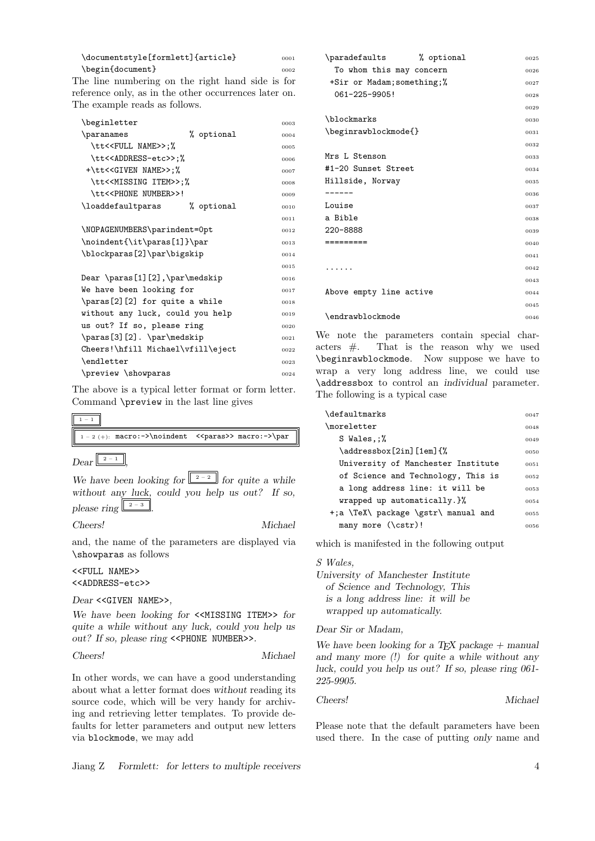| \documentstyle[formlett]{article}               |  | 0001 |
|-------------------------------------------------|--|------|
| \begin{document}                                |  | 0002 |
| he line numbering on the right hand gide is for |  |      |

The line numbering on the right hand side is for reference only, as in the other occurrences later on. The example reads as follows.

| \beginletter                           |            | 0003 |
|----------------------------------------|------------|------|
| \paranames                             | % optional | 0004 |
| \tt< <full name="">&gt;:%</full>       |            | 0005 |
| \tt< <address-etc>&gt;:%</address-etc> |            | 0006 |
| +\tt< <given name="">&gt;;%</given>    |            | 0007 |
| \tt< <missing item="">&gt;;%</missing> |            | 0008 |
| \tt< <phone number="">&gt;!</phone>    |            | 0009 |
| \loaddefaultparas                      | % optional | 0010 |
|                                        |            | 0011 |
| \NOPAGENUMBERS\parindent=Opt           |            | 0012 |
| \noindent{\it\paras[1]}\par            |            | 0013 |
| \blockparas[2]\par\bigskip             |            | 0014 |
|                                        |            | 0015 |
| Dear \paras[1][2],\par\medskip         |            | 0016 |
| We have been looking for               |            | 0017 |
| \paras[2][2] for quite a while         |            | 0018 |
| without any luck, could you help       |            | 0019 |
| us out? If so, please ring             |            | 0020 |
| \paras[3][2]. \par\medskip             |            | 0021 |
| Cheers!\hfill Michael\vfill\eject      |            | 0022 |
| \endletter                             |            | 0023 |
| \preview \showparas                    |            | 0024 |

The above is a typical letter format or form letter. Command \preview in the last line gives

| $1 - 2 (+)$ : macro: ->\noindent < <paras>&gt; macro: -&gt;\par</paras> |  |
|-------------------------------------------------------------------------|--|
|                                                                         |  |

 $\mathop{\rm Dear}\nolimits \underbrace{\mathbb{L}^{2-1}}$ ,

We have been looking for  $\boxed{\frac{2-2}{2}}$  for quite a while without any luck, could you help us out? If so, please ring  $\sqrt{\frac{2-3}{2}}$ .

Cheers! Michael

and, the name of the parameters are displayed via \showparas as follows

<<FULL NAME>> <<ADDRESS-etc>>

### Dear <<GIVEN NAME>>,

We have been looking for <<MISSING ITEM>> for quite a while without any luck, could you help us out? If so, please ring <<PHONE NUMBER>>.

#### Cheers! Michael

In other words, we can have a good understanding about what a letter format does without reading its source code, which will be very handy for archiving and retrieving letter templates. To provide defaults for letter parameters and output new letters via blockmode, we may add

| % optional<br>$\texttt{\textcirc}$ | 0025 |
|------------------------------------|------|
| To whom this may concern           | 0026 |
| $+$ Sir or Madam; something; %     | 0027 |
| $061 - 225 - 9905$                 | 0028 |
|                                    | 0029 |
| \blockmarks                        | 0030 |
| \beginrawblockmode{}               | 0031 |
|                                    | 0032 |
| Mrs L Stenson                      | 0033 |
| #1-20 Sunset Street                | 0034 |
| Hillside, Norway                   | 0035 |
|                                    | 0036 |
| Louise                             | 0037 |
|                                    |      |
| a Bible                            | 0038 |
| 220-8888                           | 0039 |
| =========                          | 0040 |
|                                    | 0041 |
| $\cdots$ .                         | 0042 |
|                                    | 0043 |
| Above empty line active            | 0044 |
|                                    | 0045 |

We note the parameters contain special characters #. That is the reason why we used \beginrawblockmode. Now suppose we have to wrap a very long address line, we could use \addressbox to control an individual parameter. The following is a typical case

| \defaultmarks                       | 0047 |
|-------------------------------------|------|
| \moreletter                         | 0048 |
| S Wales,:%                          | 0049 |
| \addressbox[2in][1em]{%             | 0050 |
| University of Manchester Institute  | 0051 |
| of Science and Technology, This is  | 0052 |
| a long address line: it will be     | 0053 |
| wrapped up automatically.}%         | 0054 |
| +;a \TeX\ package \gstr\ manual and | 0055 |
| many more $(\text{cstr})$ !         | 0056 |

which is manifested in the following output

### S Wales,

University of Manchester Institute of Science and Technology, This is a long address line: it will be wrapped up automatically.

### Dear Sir or Madam,

We have been looking for a T<sub>E</sub>X package  $+$  manual and many more (!) for quite a while without any luck, could you help us out? If so, please ring 061- 225-9905.

### Cheers! Michael

Please note that the default parameters have been used there. In the case of putting only name and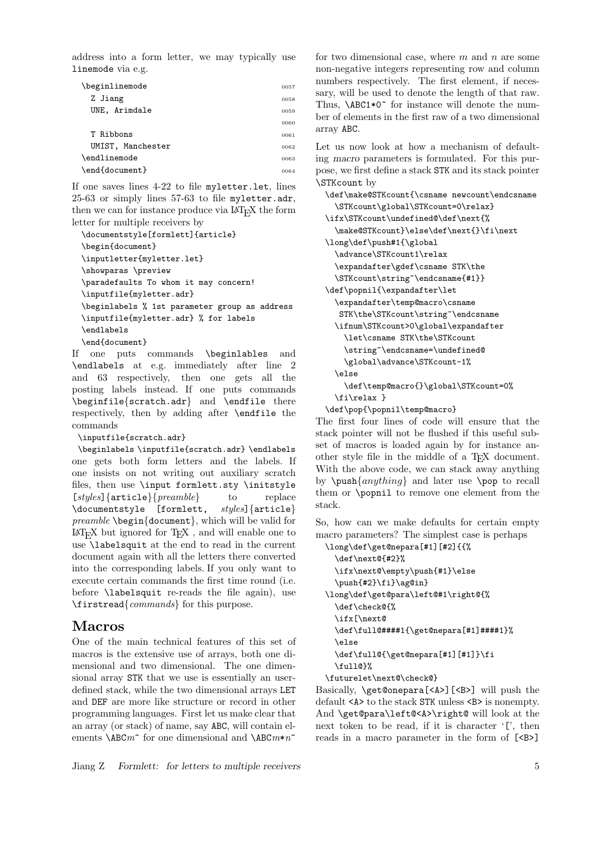address into a form letter, we may typically use linemode via e.g.

| \beginlinemode    | 0057 |
|-------------------|------|
| Z Jiang           | 0058 |
| UNE, Arimdale     | 0059 |
|                   | 0060 |
| T Ribbons         | 0061 |
| UMIST, Manchester | 0062 |
| \endlinemode      | 0063 |
| \end{document}    | 0064 |

If one saves lines 4-22 to file myletter.let, lines 25-63 or simply lines 57-63 to file myletter.adr, then we can for instance produce via  $\mathbb{A}T_{E}X$  the form letter for multiple receivers by

```
\documentstyle[formlett]{article}
\begin{document}
\inputletter{myletter.let}
\showparas \preview
\paradefaults To whom it may concern!
\inputfile{myletter.adr}
\beginlabels % 1st parameter group as address
\inputfile{myletter.adr} % for labels
\endlabels
\end{document}
```
If one puts commands \beginlables and \endlabels at e.g. immediately after line 2 and 63 respectively, then one gets all the posting labels instead. If one puts commands \beginfile{scratch.adr} and \endfile there respectively, then by adding after \endfile the commands

\inputfile{scratch.adr}

\beginlabels \inputfile{scratch.adr} \endlabels one gets both form letters and the labels. If one insists on not writing out auxiliary scratch files, then use \input formlett.sty \initstyle  $[style]{\{$ \documentstyle [formlett, styles]{article} preamble \begin{document}, which will be valid for  $\mathbb{L}\mathrm{F} \mathbb{F}\mathrm{F} \mathrm{F}$  but ignored for  $\mathbb{T} \mathbb{F} \mathrm{F} \mathrm{F}$  , and will enable one to use \labelsquit at the end to read in the current document again with all the letters there converted into the corresponding labels. If you only want to execute certain commands the first time round (i.e. before \labelsquit re-reads the file again), use \firstread{commands} for this purpose.

## Macros

One of the main technical features of this set of macros is the extensive use of arrays, both one dimensional and two dimensional. The one dimensional array STK that we use is essentially an userdefined stack, while the two dimensional arrays LET and DEF are more like structure or record in other programming languages. First let us make clear that an array (or stack) of name, say ABC, will contain elements  $\Delta E$ <sup> $\sim$ </sup> for one dimensional and  $\Delta E$ <sup> $\sim$ </sup>n<sup> $\sim$ </sup>

for two dimensional case, where  $m$  and  $n$  are some non-negative integers representing row and column numbers respectively. The first element, if necessary, will be used to denote the length of that raw. Thus,  $\Delta BCI*0^{\sim}$  for instance will denote the number of elements in the first raw of a two dimensional array ABC.

Let us now look at how a mechanism of defaulting macro parameters is formulated. For this purpose, we first define a stack STK and its stack pointer \STKcount by

```
\def\make@STKcount{\csname newcount\endcsname
  \STKcount\global\STKcount=0\relax}
\ifx\STKcount\undefined@\def\next{%
  \make@STKcount}\else\def\next{}\fi\next
\long\def\push#1{\global
  \advance\STKcount1\relax
  \expandafter\gdef\csname STK\the
 \STKcount\string~\endcsname{#1}}
\def\popnil{\expandafter\let
  \expandafter\temp@macro\csname
  STK\the\STKcount\string~\endcsname
 \ifnum\STKcount>0\global\expandafter
   \let\csname STK\the\STKcount
   \string~\endcsname=\undefined@
   \global\advance\STKcount-1%
 \else
    \def\temp@macro{}\global\STKcount=0%
 \fi\relax }
\def\pop{\popnil\temp@macro}
```
The first four lines of code will ensure that the stack pointer will not be flushed if this useful subset of macros is loaded again by for instance another style file in the middle of a TEX document. With the above code, we can stack away anything by \push{anything} and later use \pop to recall them or \popnil to remove one element from the stack.

So, how can we make defaults for certain empty macro parameters? The simplest case is perhaps

```
\long\def\get@nepara[#1][#2]{{%
  \def\next@{#2}%
 \ifx\next@\empty\push{#1}\else
  \push{#2}\fi}\ag@in}
\long\def\get@para\left@#1\right@{%
 \def\check@{%
 \ifx[\next@
 \def\full@####1{\get@nepara[#1]####1}%
 \else
 \def\full@{\get@nepara[#1][#1]}\fi
 \full@}%
\futurelet\next@\check@}
```
Basically, \get@onepara[<A>][<B>] will push the default <A> to the stack STK unless <B> is nonempty. And \get@para\left@<A>\right@ will look at the next token to be read, if it is character '[', then reads in a macro parameter in the form of [<B>]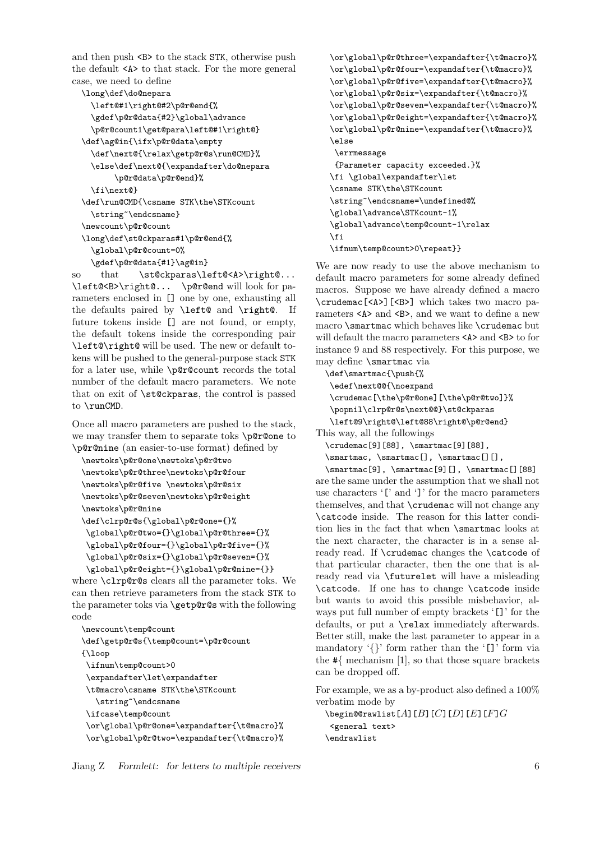and then push <B> to the stack STK, otherwise push the default <A> to that stack. For the more general case, we need to define

\long\def\do@nepara

```
\left@#1\right@#2\p@r@end{%
  \gdef\p@r@data{#2}\global\advance
  \p@r@count1\get@para\left@#1\right@}
\def\ag@in{\ifx\p@r@data\empty
  \def\next@{\relax\getp@r@s\run@CMD}%
  \else\def\next@{\expandafter\do@nepara
       \p@r@data\p@r@end}%
  \fi\next@}
\def\run@CMD{\csname STK\the\STKcount
  \string~\endcsname}
\newcount\p@r@count
\long\def\st@ckparas#1\p@r@end{%
  \global\p@r@count=0%
  \gdef\p@r@data{#1}\ag@in}
```
so that \st@ckparas\left@<A>\right@... \left@<B>\right@... \p@r@end will look for parameters enclosed in [] one by one, exhausting all the defaults paired by \left@ and \right@. If future tokens inside [] are not found, or empty, the default tokens inside the corresponding pair \left@\right@ will be used. The new or default tokens will be pushed to the general-purpose stack STK for a later use, while \p@r@count records the total number of the default macro parameters. We note that on exit of \st@ckparas, the control is passed to \runCMD.

Once all macro parameters are pushed to the stack, we may transfer them to separate toks \p@r@one to \p@r@nine (an easier-to-use format) defined by

```
\newtoks\p@r@one\newtoks\p@r@two
\newtoks\p@r@three\newtoks\p@r@four
\newtoks\p@r@five \newtoks\p@r@six
\newtoks\p@r@seven\newtoks\p@r@eight
\newtoks\p@r@nine
\def\clrp@r@s{\global\p@r@one={}%
\global\p@r@two={}\global\p@r@three={}%
\global\p@r@four={}\global\p@r@five={}%
\global\p@r@six={}\global\p@r@seven={}%
```
\global\p@r@eight={}\global\p@r@nine={}} where \clrp@r@s clears all the parameter toks. We can then retrieve parameters from the stack STK to the parameter toks via \getp@r@s with the following code

```
\newcount\temp@count
\def\getp@r@s{\temp@count=\p@r@count
{\loop
\ifnum\temp@count>0
\expandafter\let\expandafter
\t@macro\csname STK\the\STKcount
   \string~\endcsname
\ifcase\temp@count
\or\global\p@r@one=\expandafter{\t@macro}%
\or\global\p@r@two=\expandafter{\t@macro}%
```

```
\or\global\p@r@three=\expandafter{\t@macro}%
\or\global\p@r@four=\expandafter{\t@macro}%
\or\global\p@r@five=\expandafter{\t@macro}%
\or\global\p@r@six=\expandafter{\t@macro}%
\or\global\p@r@seven=\expandafter{\t@macro}%
\or\global\p@r@eight=\expandafter{\t@macro}%
\or\global\p@r@nine=\expandafter{\t@macro}%
\else
 \errmessage
 {Parameter capacity exceeded.}%
\fi \global\expandafter\let
\csname STK\the\STKcount
\string~\endcsname=\undefined@%
\global\advance\STKcount-1%
\global\advance\temp@count-1\relax
\fi
```
\ifnum\temp@count>0\repeat}}

We are now ready to use the above mechanism to default macro parameters for some already defined macros. Suppose we have already defined a macro \crudemac[<A>][<B>] which takes two macro parameters <A> and <B>. and we want to define a new macro \smartmac which behaves like \crudemac but will default the macro parameters  $<\!\mathsf{A}\!\!>$  and  $<\!\mathsf{B}\!\!>$  to for instance 9 and 88 respectively. For this purpose, we may define \smartmac via

\def\smartmac{\push{% \edef\next@@{\noexpand \crudemac[\the\p@r@one][\the\p@r@two]}% \popnil\clrp@r@s\next@@}\st@ckparas \left@9\right@\left@88\right@\p@r@end}

This way, all the followings

\crudemac[9][88], \smartmac[9][88],

\smartmac, \smartmac[], \smartmac[][],

\smartmac[9], \smartmac[9][], \smartmac[][88] are the same under the assumption that we shall not use characters '[' and ']' for the macro parameters themselves, and that \crudemac will not change any \catcode inside. The reason for this latter condition lies in the fact that when \smartmac looks at the next character, the character is in a sense already read. If \crudemac changes the \catcode of that particular character, then the one that is already read via \futurelet will have a misleading \catcode. If one has to change \catcode inside but wants to avoid this possible misbehavior, always put full number of empty brackets '[]' for the defaults, or put a \relax immediately afterwards. Better still, make the last parameter to appear in a mandatory  $\{\}$  form rather than the  $[\ ]$  form via the  $\#\{$  mechanism [1], so that those square brackets can be dropped off.

For example, we as a by-product also defined a 100% verbatim mode by

 $\begin{bmatrix} \begin{bmatrix} A & B \end{bmatrix} & D \end{bmatrix}$ <general text> \endrawlist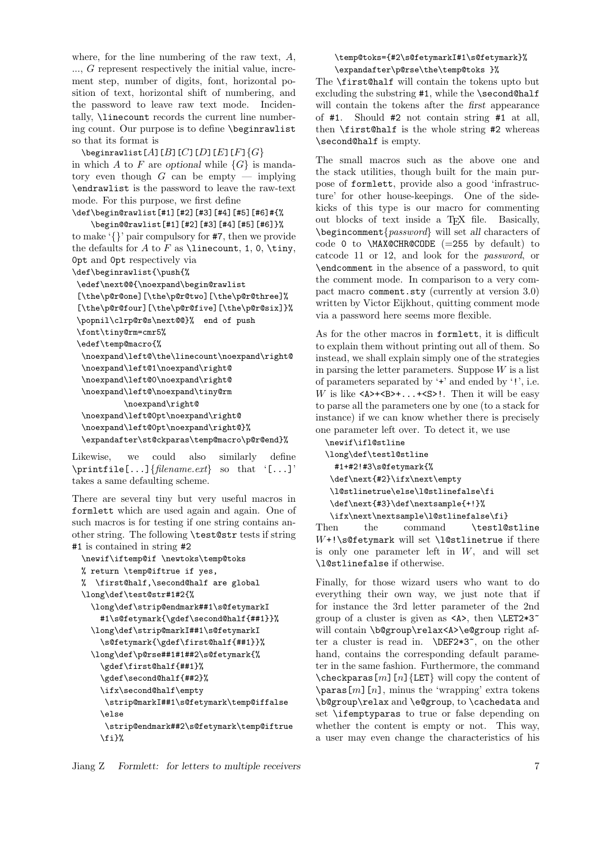where, for the line numbering of the raw text, A, ..., G represent respectively the initial value, increment step, number of digits, font, horizontal position of text, horizontal shift of numbering, and the password to leave raw text mode. Incidentally, \linecount records the current line numbering count. Our purpose is to define \beginrawlist so that its format is

 $\begin{bmatrix}$  \beginrawlist[A][B][C][D][E][F] $\{G\}$ in which A to F are optional while  $\{G\}$  is mandatory even though  $G$  can be empty — implying \endrawlist is the password to leave the raw-text mode. For this purpose, we first define

#### \def\begin@rawlist[#1][#2][#3][#4][#5][#6]#{% \begin@@rawlist[#1][#2][#3][#4][#5][#6]}%

to make '{}' pair compulsory for #7, then we provide the defaults for  $A$  to  $F$  as  $\line$ 0pt and 0pt respectively via

```
\def\beginrawlist{\push{%
```

```
\edef\next@@{\noexpand\begin@rawlist
```
[\the\p@r@one][\the\p@r@two][\the\p@r@three]%

```
[\the\p@r@four][\the\p@r@five][\the\p@r@six]}%
```

```
\popnil\clrp@r@s\next@@}% end of push
```

```
\font\tiny@rm=cmr5%
```

```
\edef\temp@macro{%
```

```
\noexpand\left@\the\linecount\noexpand\right@
\noexpand\left@1\noexpand\right@
\noexpand\left@0\noexpand\right@
\noexpand\left@\noexpand\tiny@rm
         \noexpand\right@
\noexpand\left@0pt\noexpand\right@
\noexpand\left@0pt\noexpand\right@}%
```

```
\expandafter\st@ckparas\temp@macro\p@r@end}%
```
Likewise, we could also similarly define \printfile[...]{filename.ext} so that '[...]' takes a same defaulting scheme.

There are several tiny but very useful macros in formlett which are used again and again. One of such macros is for testing if one string contains another string. The following \test@str tests if string #1 is contained in string #2

```
\newif\iftemp@if \newtoks\temp@toks
% return \temp@iftrue if yes,
% \first@half,\second@half are global
\long\def\test@str#1#2{%
  \long\def\strip@endmark##1\s@fetymarkI
    #1\s@fetymark{\gdef\second@half{##1}}%
  \long\def\strip@markI##1\s@fetymarkI
    \s@fetymark{\gdef\first@half{##1}}%
  \long\def\p@rse##1#1##2\s@fetymark{%
    \gdef\first@half{##1}%
    \gdef\second@half{##2}%
    \ifx\second@half\empty
     \strip@markI##1\s@fetymark\temp@iffalse
    \else
     \strip@endmark##2\s@fetymark\temp@iftrue
   \fi}%
```
### \temp@toks={#2\s@fetymarkI#1\s@fetymark}% \expandafter\p@rse\the\temp@toks }%

The \first@half will contain the tokens upto but excluding the substring #1, while the \second@half will contain the tokens after the *first* appearance of #1. Should #2 not contain string #1 at all, then \first@half is the whole string #2 whereas \second@half is empty.

The small macros such as the above one and the stack utilities, though built for the main purpose of formlett, provide also a good 'infrastructure' for other house-keepings. One of the sidekicks of this type is our macro for commenting out blocks of text inside a TEX file. Basically, \begincomment{password} will set all characters of code 0 to  $\text{MAXQCHRQCODE} (=255 \text{ by default})$  to catcode 11 or 12, and look for the password, or \endcomment in the absence of a password, to quit the comment mode. In comparison to a very compact macro comment.sty (currently at version 3.0) written by Victor Eijkhout, quitting comment mode via a password here seems more flexible.

As for the other macros in formlett, it is difficult to explain them without printing out all of them. So instead, we shall explain simply one of the strategies in parsing the letter parameters. Suppose  $W$  is a list of parameters separated by '+' and ended by '!', i.e. W is like  $\langle A \rangle + \langle B \rangle + ... + \langle S \rangle!$ . Then it will be easy to parse all the parameters one by one (to a stack for instance) if we can know whether there is precisely one parameter left over. To detect it, we use

```
\newif\ifl@stline
\long\def\testl@stline
 #1+#2!#3\s@fetymark{%
\def\next{#2}\ifx\next\empty
\l@stlinetrue\else\l@stlinefalse\fi
\def\next{#3}\def\nextsample{+!}%
\ifx\next\nextsample\l@stlinefalse\fi}
```
Then the command \testl@stline  $W+! \s$ @fetymark will set \l@stlinetrue if there is only one parameter left in  $W$ , and will set \l@stlinefalse if otherwise.

Finally, for those wizard users who want to do everything their own way, we just note that if for instance the 3rd letter parameter of the 2nd group of a cluster is given as  $\langle A \rangle$ , then  $\langle LET2*3 \rangle$ will contain \b@group\relax<A>\e@group right after a cluster is read in. \DEF2\*3~, on the other hand, contains the corresponding default parameter in the same fashion. Furthermore, the command  $\check{\text{checkparas}[m][n]{\text{LET}}$  will copy the content of  $\partial[n]$ [n], minus the 'wrapping' extra tokens \b@group\relax and \e@group, to \cachedata and set \ifemptyparas to true or false depending on whether the content is empty or not. This way, a user may even change the characteristics of his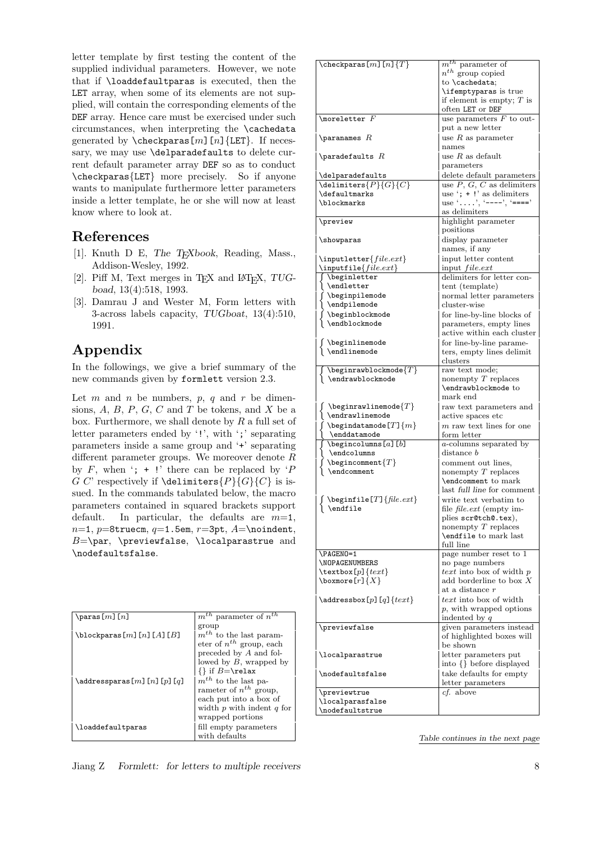letter template by first testing the content of the supplied individual parameters. However, we note that if \loaddefaultparas is executed, then the LET array, when some of its elements are not supplied, will contain the corresponding elements of the DEF array. Hence care must be exercised under such circumstances, when interpreting the \cachedata generated by  $\check{\text{c}}_m$ [m][n]{LET}. If necessary, we may use \delparadefaults to delete current default parameter array DEF so as to conduct \checkparas{LET} more precisely. So if anyone wants to manipulate furthermore letter parameters inside a letter template, he or she will now at least know where to look at.

## References

- [1]. Knuth D E, The TEXbook, Reading, Mass., Addison-Wesley, 1992.
- [2]. Piff M, Text merges in T<sub>E</sub>X and LAT<sub>E</sub>X,  $TUG$ boad, 13(4):518, 1993.
- [3]. Damrau J and Wester M, Form letters with 3-across labels capacity, TUGboat, 13(4):510, 1991.

## Appendix

In the followings, we give a brief summary of the new commands given by formlett version 2.3.

Let  $m$  and  $n$  be numbers,  $p$ ,  $q$  and  $r$  be dimensions,  $A, B, P, G, C$  and  $T$  be tokens, and  $X$  be a box. Furthermore, we shall denote by  $R$  a full set of letter parameters ended by '!', with ';' separating parameters inside a same group and '+' separating different parameter groups. We moreover denote R by  $F$ , when ';  $+$  !' there can be replaced by 'P G C' respectively if  $\delta{P}{G}{C}$  is issued. In the commands tabulated below, the macro parameters contained in squared brackets support default. In particular, the defaults are  $m=1$ ,  $n=1, p=8$ truecm,  $q=1.5$ em,  $r=3$ pt,  $A=\n$ noindent,  $B=\part$ , \previewfalse, \localparastrue and \nodefaultsfalse.

| \paras [ $m$ ] [ $n$ ]                                                                              | $m^{th}$ parameter of $n^{th}$ |
|-----------------------------------------------------------------------------------------------------|--------------------------------|
|                                                                                                     | group                          |
| $\big\backslash \textrm{blockparas}\left[ m\right] \left[ n\right] \left[ A\right] \left[ B\right]$ | $m^{th}$ to the last param-    |
|                                                                                                     | eter of $n^{th}$ group, each   |
|                                                                                                     | preceded by $A$ and fol-       |
|                                                                                                     | lowed by $B$ , wrapped by      |
|                                                                                                     | $\{\}\$ if $B=\relax$          |
| $\lambda$ ddressparas $[m]$ $[n]$ $[p]$ $[q]$                                                       | $m^{th}$ to the last pa-       |
|                                                                                                     | rameter of $n^{th}$ group,     |
|                                                                                                     | each put into a box of         |
|                                                                                                     | width $p$ with indent $q$ for  |
|                                                                                                     | wrapped portions               |
| \loaddefaultparas                                                                                   | fill empty parameters          |
|                                                                                                     | with defaults                  |

| $\mu$ . The caparas $\mu$ , $\mu$ is $\mu$ is $\mu$                                                          | ,,,<br>parameter or<br>$n^{th}$ group copied |
|--------------------------------------------------------------------------------------------------------------|----------------------------------------------|
|                                                                                                              |                                              |
|                                                                                                              | to \cachedata;                               |
|                                                                                                              | \ifemptyparas is true                        |
|                                                                                                              | if element is empty; $T$ is                  |
|                                                                                                              | often LET or DEF                             |
| $\langle$ moreletter $F$                                                                                     | use parameters $F$ to out-                   |
|                                                                                                              | put a new letter                             |
| $\{parameters R\}$                                                                                           | use R as parameter                           |
|                                                                                                              | names                                        |
| $\lambda$ $R$                                                                                                | use $R$ as default                           |
|                                                                                                              | parameters                                   |
|                                                                                                              |                                              |
| \delparadefaults                                                                                             | delete default parameters                    |
| $\text{delimiters}\overline{\{P\}\{G\}\{C\}}$                                                                | use $P, G, C$ as delimiters                  |
| \defaultmarks                                                                                                | use '; $+$ !' as delimiters                  |
| \blockmarks                                                                                                  | use '', '----', '===='                       |
|                                                                                                              | as delimiters                                |
| \preview                                                                                                     | highlight parameter                          |
|                                                                                                              | positions                                    |
| \showparas                                                                                                   | display parameter                            |
|                                                                                                              | names, if any                                |
| $\verb+\inputletter{}file. ext\}$                                                                            | input letter content                         |
| $\in\text{file{file.ext}}$                                                                                   | input <i>file.ext</i>                        |
| $\sqrt{\text{begin}}$                                                                                        | delimiters for letter con-                   |
|                                                                                                              |                                              |
| \endletter                                                                                                   | tent (template)                              |
| $\int \begin{bmatrix} \zeta & \zeta \end{bmatrix}$                                                           | normal letter parameters                     |
| <i>(cndpilemode</i>                                                                                          | $cluster\text{-wise}$                        |
| ∫ \beginblockmode                                                                                            | for line-by-line blocks of                   |
| \endblockmode                                                                                                | parameters, empty lines                      |
|                                                                                                              | active within each cluster                   |
| ∫ \beginlinemode                                                                                             | for line-by-line parame-                     |
| \endlinemode                                                                                                 | ters, empty lines delimit                    |
|                                                                                                              | $\mathrm{clusters}$                          |
|                                                                                                              |                                              |
| $\big\{ \begin{array}{c} \texttt{}\end{array} \end{array}$                                                   | raw text mode;                               |
|                                                                                                              | nonempty $T$ replaces                        |
|                                                                                                              | \endrawblockmode to                          |
|                                                                                                              | ${\rm mark\ end}$                            |
|                                                                                                              |                                              |
| <code>]</code> \beginrawlinemode $\{T\}$                                                                     | raw text parameters and                      |
| \endrawlinemode                                                                                              |                                              |
|                                                                                                              | active spaces etc                            |
| $\int \begin{bmatrix} \n\text{logindatamode}[T] \{m\} \n\end{bmatrix}$                                       | $m$ raw text lines for one                   |
| \enddatamode                                                                                                 | form letter                                  |
| $\, \setminus \,$ \begincolumns[ $a$ ][ $b$ ]                                                                | a-columns separated by                       |
| \endcolumns                                                                                                  | distance b                                   |
| $\begin{bmatrix} \text{begin} & \text{if } \\ \text{aligned} & \end{bmatrix}$                                | comment out lines,                           |
| \endcomment                                                                                                  | nonempty $T$ replaces                        |
|                                                                                                              | \endcomment to mark                          |
|                                                                                                              | last full line for comment                   |
| $\begin{align} \begin{cases} \text{file} & \text{file} \\ \text{file} & \text{file} \end{cases} \end{align}$ | write text verbatim to                       |
| \endfile                                                                                                     |                                              |
|                                                                                                              | file <i>file.ext</i> (empty im-              |
|                                                                                                              | plies scr@tch@.tex),                         |
|                                                                                                              | nonempty $T$ replaces                        |
|                                                                                                              | \endfile to mark last                        |
|                                                                                                              | full line                                    |
| \PAGENO=1                                                                                                    | page number reset to 1                       |
| \NOPAGENUMBERS                                                                                               | no page numbers                              |
| $\texttt{text}[p]{\text{text}}$                                                                              | $text$ into box of width $p$                 |
| $\lambda$ \boxmore[r]{X}                                                                                     | add borderline to box $X$                    |
|                                                                                                              | at a distance $r$                            |
| $\hat{p}$ [q] $\{text\}$                                                                                     | text into box of width                       |
|                                                                                                              | $p$ , with wrapped options                   |
|                                                                                                              |                                              |
| \previewfalse                                                                                                | indented by $q$                              |
|                                                                                                              | given parameters instead                     |
|                                                                                                              | of highlighted boxes will                    |
|                                                                                                              | be shown                                     |
| \localparastrue                                                                                              | letter parameters put                        |
|                                                                                                              | into {} before displayed                     |
| \nodefaultsfalse                                                                                             | take defaults for empty                      |
|                                                                                                              | letter parameters                            |
| \previewtrue                                                                                                 | <i>cf.</i> above                             |
| \localparasfalse                                                                                             |                                              |

 $\lambda$ checkparas[m][n] $[T]$  mth parameter of

Jiang Z Formlett: for letters to multiple receivers 8